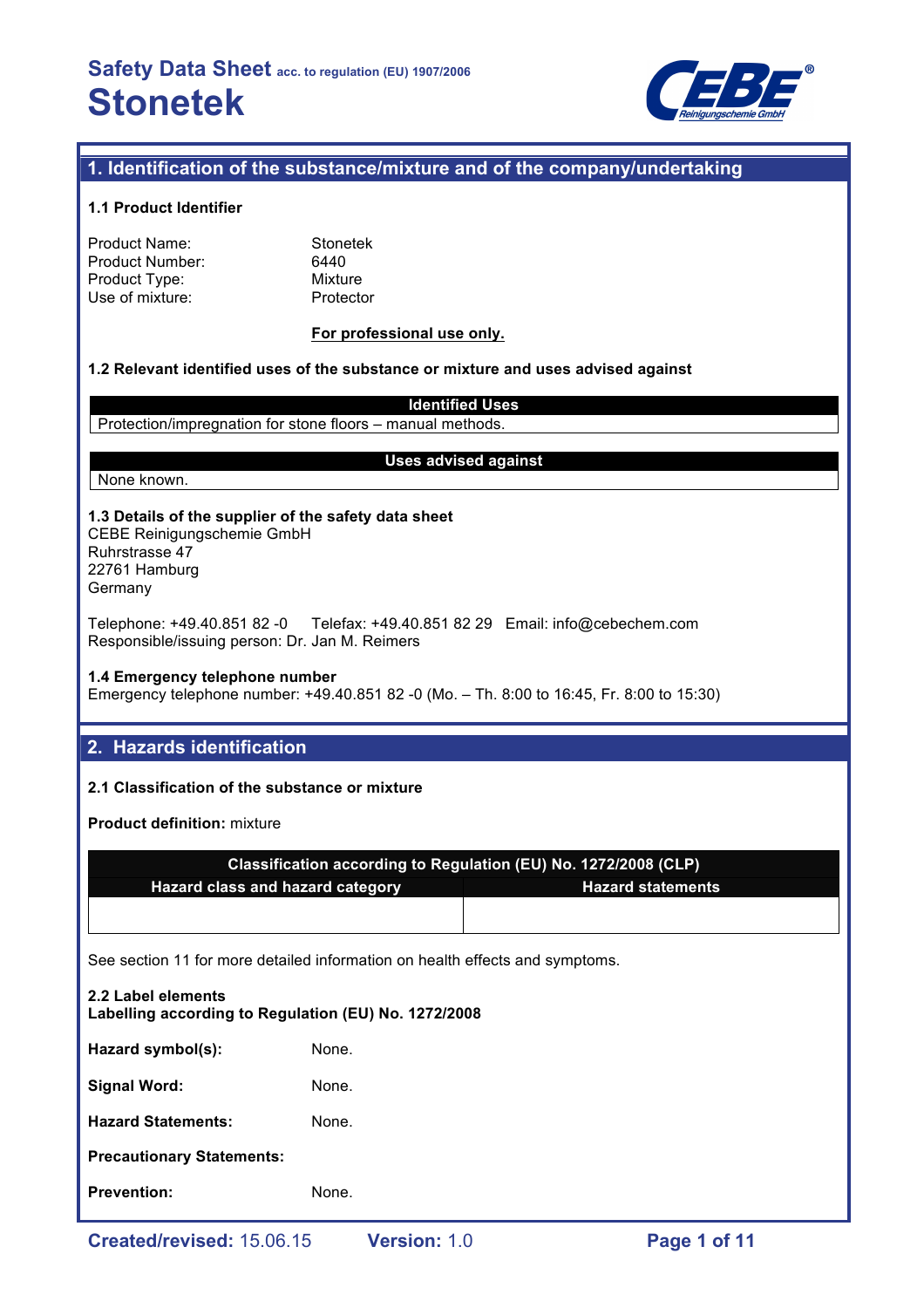

## **1. Identification of the substance/mixture and of the company/undertaking**

#### **1.1 Product Identifier**

| Product Name:   |  |
|-----------------|--|
| Product Number: |  |
| Product Type:   |  |
| Use of mixture: |  |

**Stonetek** 6440 **Mixture** Protector

#### **For professional use only.**

#### **1.2 Relevant identified uses of the substance or mixture and uses advised against**

**Identified Uses** Protection/impregnation for stone floors – manual methods.

#### **Uses advised against**

# None known.

**1.3 Details of the supplier of the safety data sheet** CEBE Reinigungschemie GmbH Ruhrstrasse 47

22761 Hamburg Germany

Telephone: +49.40.851 82 -0 Telefax: +49.40.851 82 29 Email: info@cebechem.com Responsible/issuing person: Dr. Jan M. Reimers

#### **1.4 Emergency telephone number**

Emergency telephone number: +49.40.851 82 -0 (Mo. – Th. 8:00 to 16:45, Fr. 8:00 to 15:30)

## **2. Hazards identification**

### **2.1 Classification of the substance or mixture**

**Product definition:** mixture

| Classification according to Regulation (EU) No. 1272/2008 (CLP) |                          |  |
|-----------------------------------------------------------------|--------------------------|--|
| <b>Hazard class and hazard category</b>                         | <b>Hazard statements</b> |  |
|                                                                 |                          |  |

See section 11 for more detailed information on health effects and symptoms.

| <b>Prevention:</b>                                                         | None. |  |  |  |
|----------------------------------------------------------------------------|-------|--|--|--|
| <b>Precautionary Statements:</b>                                           |       |  |  |  |
| <b>Hazard Statements:</b>                                                  | None. |  |  |  |
| <b>Signal Word:</b>                                                        | None. |  |  |  |
| Hazard symbol(s):                                                          | None. |  |  |  |
| 2.2 Label elements<br>Labelling according to Regulation (EU) No. 1272/2008 |       |  |  |  |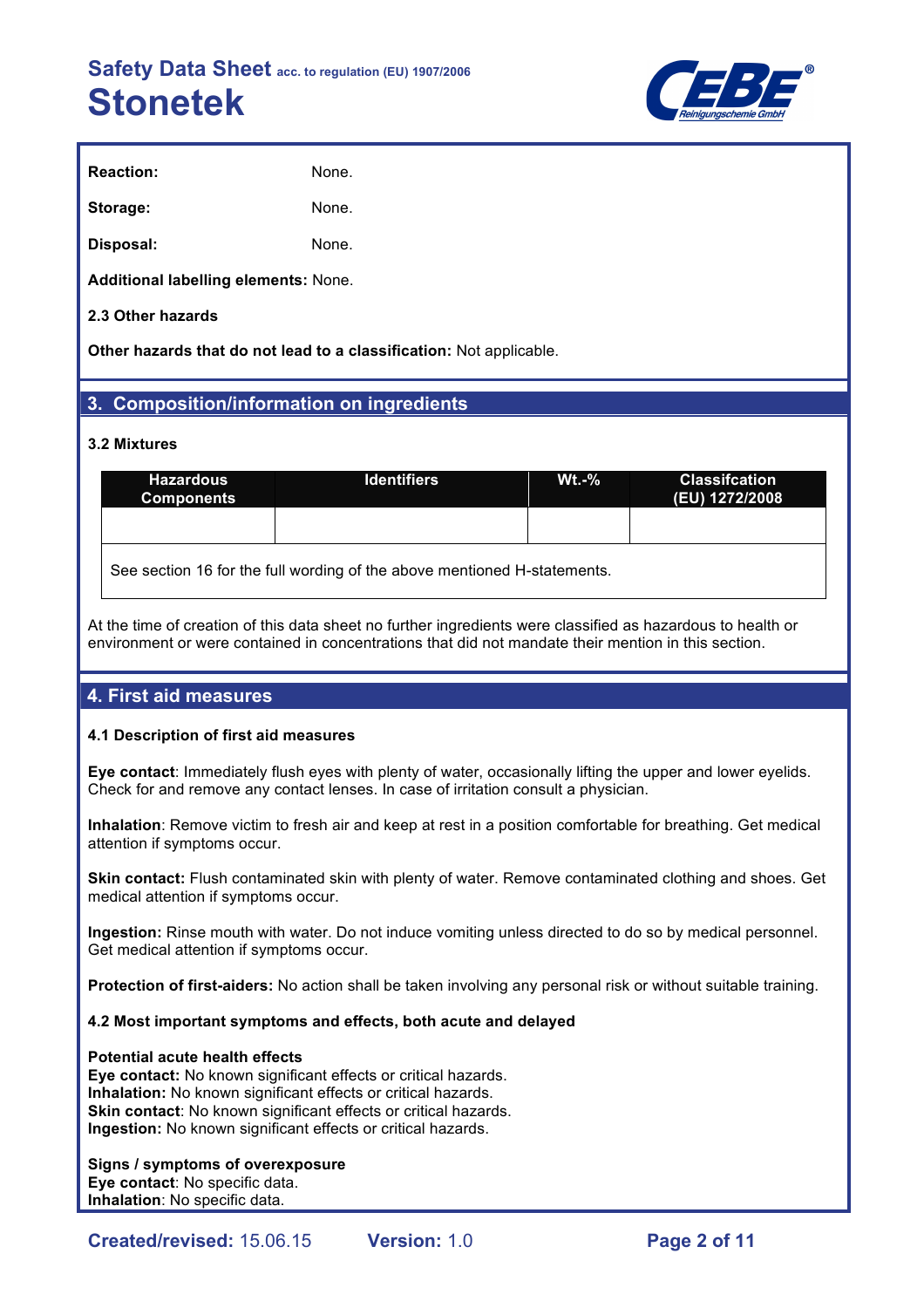

| <b>Reaction:</b> | None. |
|------------------|-------|
| Storage:         | None. |
| Disposal:        | None. |

**Additional labelling elements:** None.

#### **2.3 Other hazards**

**Other hazards that do not lead to a classification:** Not applicable.

## **3. Composition/information on ingredients**

#### **3.2 Mixtures**

| <b>Hazardous</b><br><b>Components</b>                                    | <b>Identifiers</b> | $Wt - %$ | <b>Classifcation</b><br>(EU) 1272/2008 |  |  |  |
|--------------------------------------------------------------------------|--------------------|----------|----------------------------------------|--|--|--|
|                                                                          |                    |          |                                        |  |  |  |
| See section 16 for the full wording of the above mentioned H-statements. |                    |          |                                        |  |  |  |

At the time of creation of this data sheet no further ingredients were classified as hazardous to health or environment or were contained in concentrations that did not mandate their mention in this section.

## **4. First aid measures**

#### **4.1 Description of first aid measures**

**Eye contact**: Immediately flush eyes with plenty of water, occasionally lifting the upper and lower eyelids. Check for and remove any contact lenses. In case of irritation consult a physician.

**Inhalation**: Remove victim to fresh air and keep at rest in a position comfortable for breathing. Get medical attention if symptoms occur.

**Skin contact:** Flush contaminated skin with plenty of water. Remove contaminated clothing and shoes. Get medical attention if symptoms occur.

**Ingestion:** Rinse mouth with water. Do not induce vomiting unless directed to do so by medical personnel. Get medical attention if symptoms occur.

**Protection of first-aiders:** No action shall be taken involving any personal risk or without suitable training.

#### **4.2 Most important symptoms and effects, both acute and delayed**

#### **Potential acute health effects**

**Eye contact:** No known significant effects or critical hazards. **Inhalation:** No known significant effects or critical hazards. **Skin contact:** No known significant effects or critical hazards. **Ingestion:** No known significant effects or critical hazards.

#### **Signs / symptoms of overexposure**

**Eye contact**: No specific data. **Inhalation**: No specific data.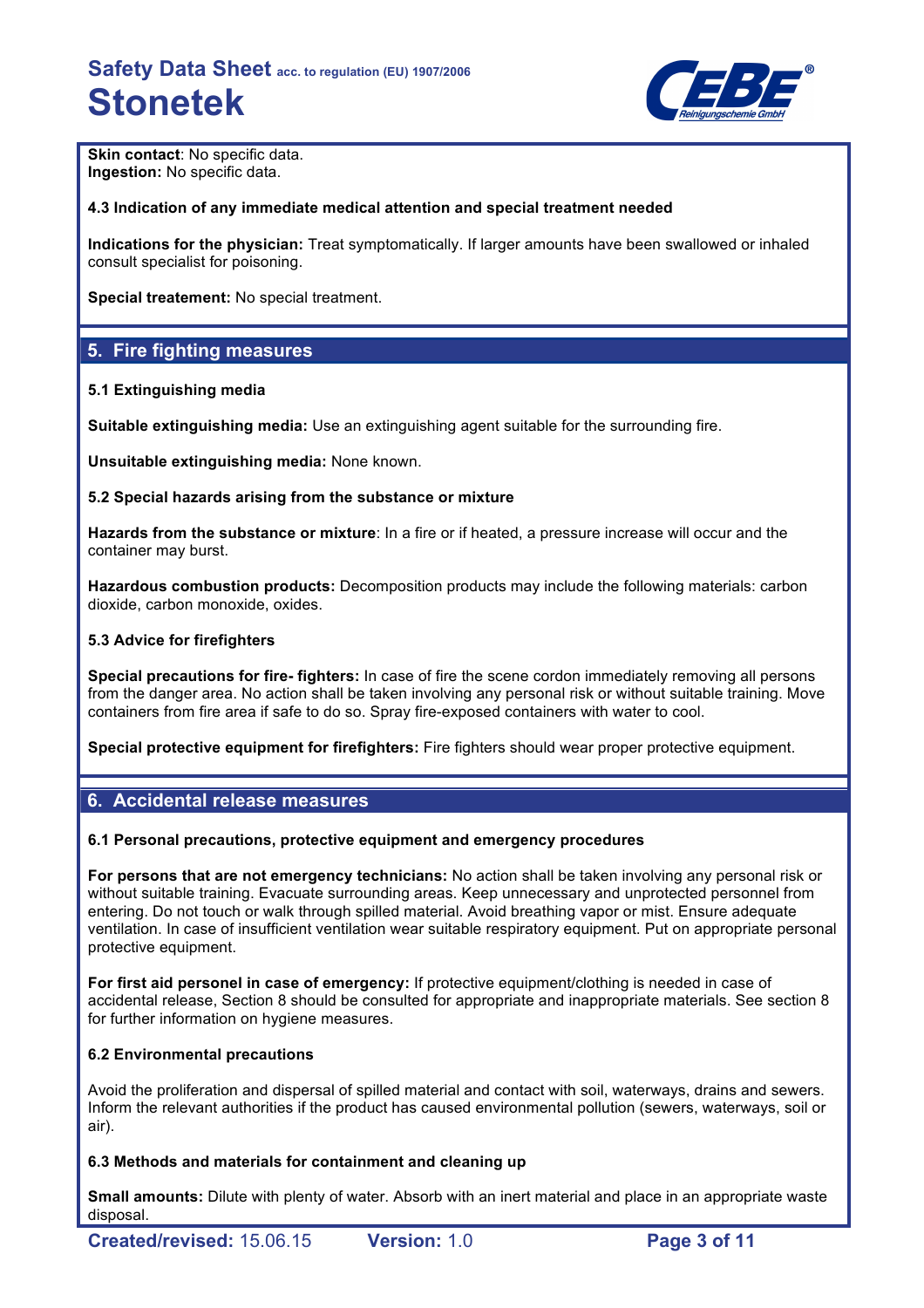

**Skin contact: No specific data. Ingestion:** No specific data.

### **4.3 Indication of any immediate medical attention and special treatment needed**

**Indications for the physician:** Treat symptomatically. If larger amounts have been swallowed or inhaled consult specialist for poisoning.

**Special treatement:** No special treatment.

## **5. Fire fighting measures**

#### **5.1 Extinguishing media**

**Suitable extinguishing media:** Use an extinguishing agent suitable for the surrounding fire.

**Unsuitable extinguishing media:** None known.

#### **5.2 Special hazards arising from the substance or mixture**

**Hazards from the substance or mixture**: In a fire or if heated, a pressure increase will occur and the container may burst.

**Hazardous combustion products:** Decomposition products may include the following materials: carbon dioxide, carbon monoxide, oxides.

#### **5.3 Advice for firefighters**

**Special precautions for fire- fighters:** In case of fire the scene cordon immediately removing all persons from the danger area. No action shall be taken involving any personal risk or without suitable training. Move containers from fire area if safe to do so. Spray fire-exposed containers with water to cool.

**Special protective equipment for firefighters:** Fire fighters should wear proper protective equipment.

## **6. Accidental release measures**

#### **6.1 Personal precautions, protective equipment and emergency procedures**

**For persons that are not emergency technicians:** No action shall be taken involving any personal risk or without suitable training. Evacuate surrounding areas. Keep unnecessary and unprotected personnel from entering. Do not touch or walk through spilled material. Avoid breathing vapor or mist. Ensure adequate ventilation. In case of insufficient ventilation wear suitable respiratory equipment. Put on appropriate personal protective equipment.

**For first aid personel in case of emergency:** If protective equipment/clothing is needed in case of accidental release, Section 8 should be consulted for appropriate and inappropriate materials. See section 8 for further information on hygiene measures.

#### **6.2 Environmental precautions**

Avoid the proliferation and dispersal of spilled material and contact with soil, waterways, drains and sewers. Inform the relevant authorities if the product has caused environmental pollution (sewers, waterways, soil or air).

#### **6.3 Methods and materials for containment and cleaning up**

**Small amounts:** Dilute with plenty of water. Absorb with an inert material and place in an appropriate waste disposal.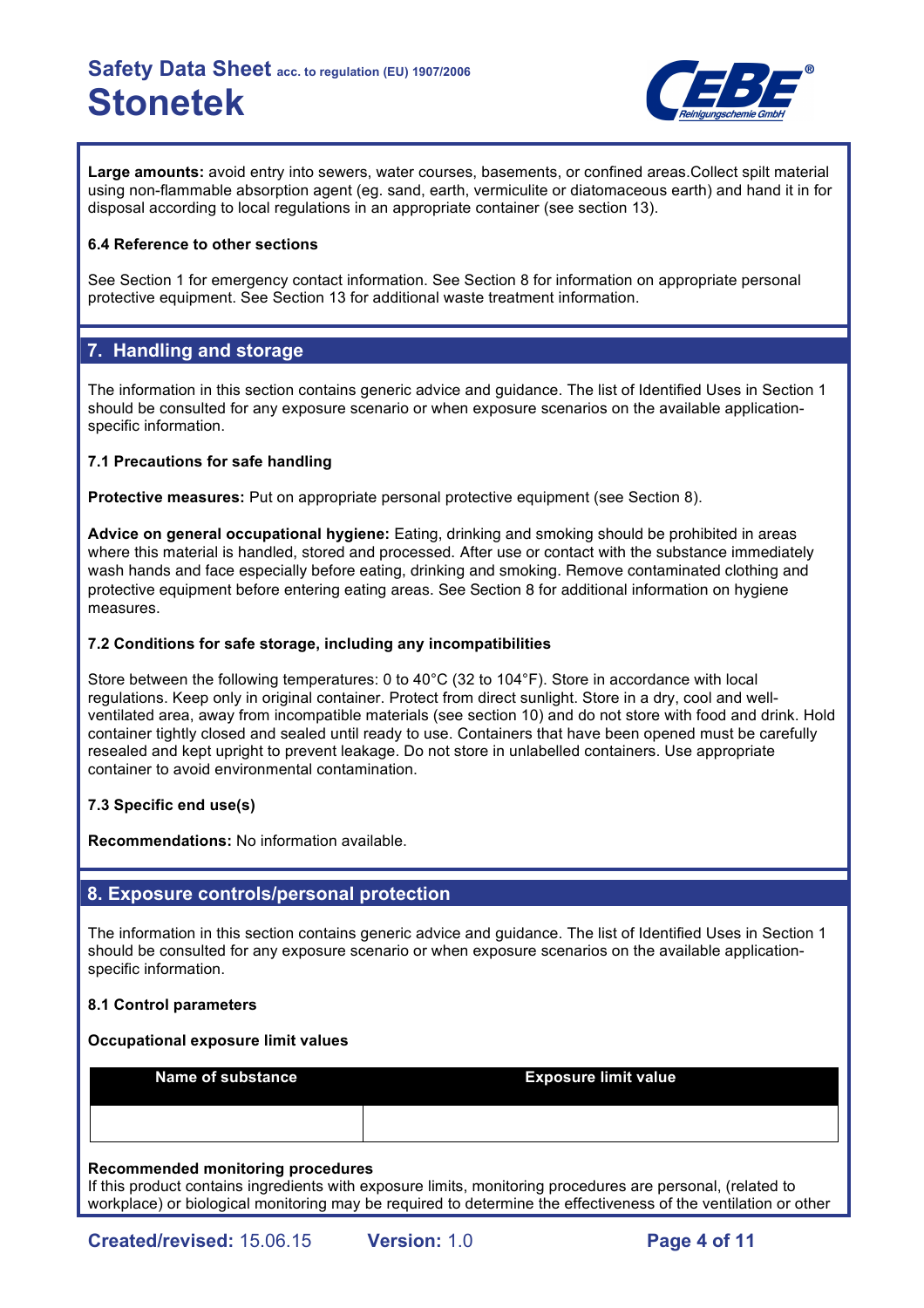

**Large amounts:** avoid entry into sewers, water courses, basements, or confined areas.Collect spilt material using non-flammable absorption agent (eg. sand, earth, vermiculite or diatomaceous earth) and hand it in for disposal according to local regulations in an appropriate container (see section 13).

#### **6.4 Reference to other sections**

See Section 1 for emergency contact information. See Section 8 for information on appropriate personal protective equipment. See Section 13 for additional waste treatment information.

## **7. Handling and storage**

The information in this section contains generic advice and guidance. The list of Identified Uses in Section 1 should be consulted for any exposure scenario or when exposure scenarios on the available applicationspecific information.

### **7.1 Precautions for safe handling**

**Protective measures:** Put on appropriate personal protective equipment (see Section 8).

**Advice on general occupational hygiene:** Eating, drinking and smoking should be prohibited in areas where this material is handled, stored and processed. After use or contact with the substance immediately wash hands and face especially before eating, drinking and smoking. Remove contaminated clothing and protective equipment before entering eating areas. See Section 8 for additional information on hygiene measures.

### **7.2 Conditions for safe storage, including any incompatibilities**

Store between the following temperatures: 0 to 40°C (32 to 104°F). Store in accordance with local regulations. Keep only in original container. Protect from direct sunlight. Store in a dry, cool and wellventilated area, away from incompatible materials (see section 10) and do not store with food and drink. Hold container tightly closed and sealed until ready to use. Containers that have been opened must be carefully resealed and kept upright to prevent leakage. Do not store in unlabelled containers. Use appropriate container to avoid environmental contamination.

## **7.3 Specific end use(s)**

**Recommendations:** No information available.

## **8. Exposure controls/personal protection**

The information in this section contains generic advice and guidance. The list of Identified Uses in Section 1 should be consulted for any exposure scenario or when exposure scenarios on the available applicationspecific information.

#### **8.1 Control parameters**

#### **Occupational exposure limit values**

| Name of substance | <b>Exposure limit value</b> |
|-------------------|-----------------------------|
|                   |                             |

#### **Recommended monitoring procedures**

If this product contains ingredients with exposure limits, monitoring procedures are personal, (related to workplace) or biological monitoring may be required to determine the effectiveness of the ventilation or other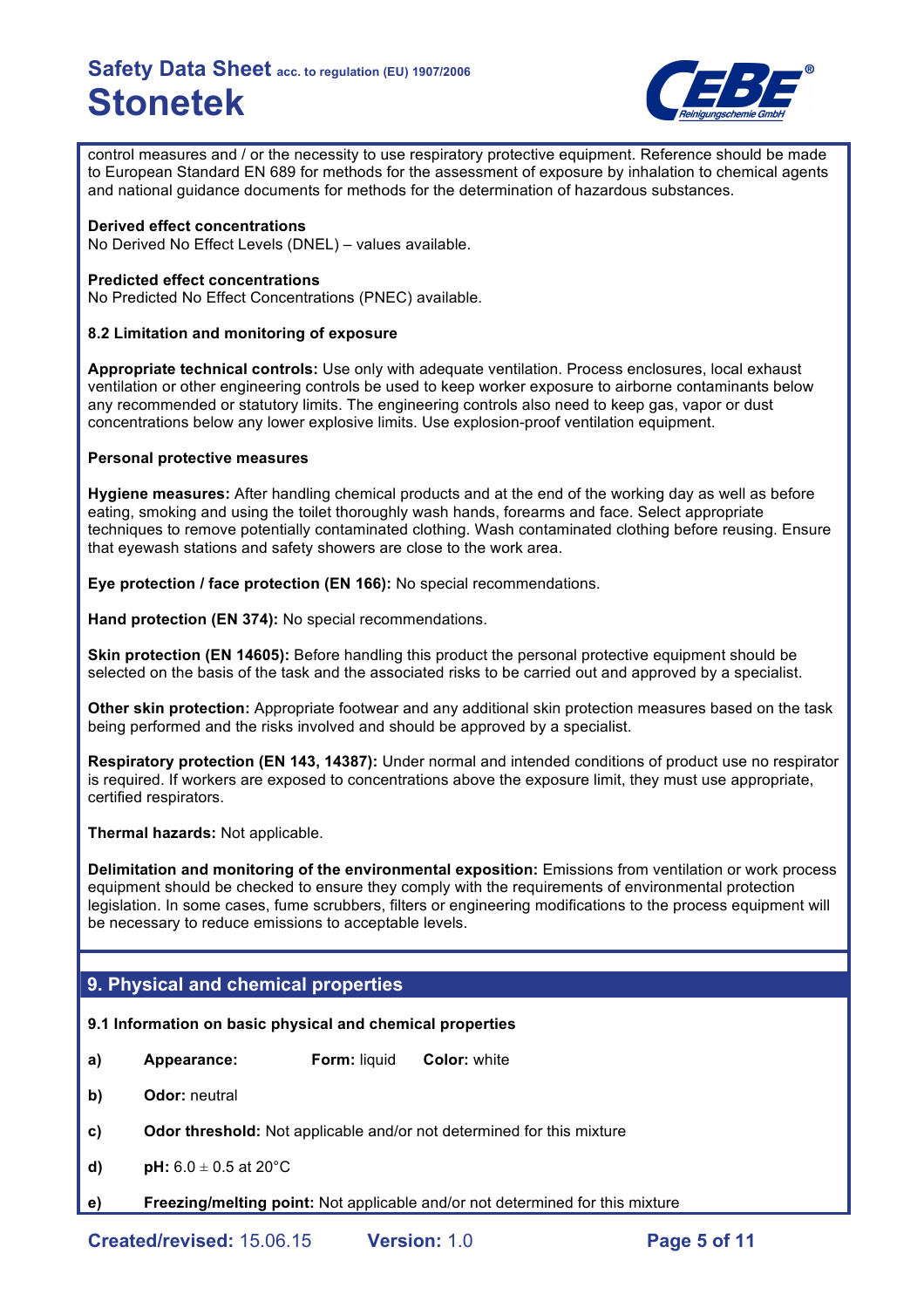

control measures and / or the necessity to use respiratory protective equipment. Reference should be made to European Standard EN 689 for methods for the assessment of exposure by inhalation to chemical agents and national guidance documents for methods for the determination of hazardous substances.

#### **Derived effect concentrations**

No Derived No Effect Levels (DNEL) – values available.

#### **Predicted effect concentrations**

No Predicted No Effect Concentrations (PNEC) available.

#### **8.2 Limitation and monitoring of exposure**

**Appropriate technical controls:** Use only with adequate ventilation. Process enclosures, local exhaust ventilation or other engineering controls be used to keep worker exposure to airborne contaminants below any recommended or statutory limits. The engineering controls also need to keep gas, vapor or dust concentrations below any lower explosive limits. Use explosion-proof ventilation equipment.

#### **Personal protective measures**

**Hygiene measures:** After handling chemical products and at the end of the working day as well as before eating, smoking and using the toilet thoroughly wash hands, forearms and face. Select appropriate techniques to remove potentially contaminated clothing. Wash contaminated clothing before reusing. Ensure that eyewash stations and safety showers are close to the work area.

**Eye protection / face protection (EN 166):** No special recommendations.

**Hand protection (EN 374):** No special recommendations.

**Skin protection (EN 14605):** Before handling this product the personal protective equipment should be selected on the basis of the task and the associated risks to be carried out and approved by a specialist.

**Other skin protection:** Appropriate footwear and any additional skin protection measures based on the task being performed and the risks involved and should be approved by a specialist.

**Respiratory protection (EN 143, 14387):** Under normal and intended conditions of product use no respirator is required. If workers are exposed to concentrations above the exposure limit, they must use appropriate, certified respirators.

**Thermal hazards:** Not applicable.

**Delimitation and monitoring of the environmental exposition:** Emissions from ventilation or work process equipment should be checked to ensure they comply with the requirements of environmental protection legislation. In some cases, fume scrubbers, filters or engineering modifications to the process equipment will be necessary to reduce emissions to acceptable levels.

## **9. Physical and chemical properties**

#### **9.1 Information on basic physical and chemical properties**

- **a) Appearance: Form:** liquid **Color:** white
- **b) Odor:** neutral
- **c) Odor threshold:** Not applicable and/or not determined for this mixture
- **d) pH:**  $6.0 \pm 0.5$  at  $20^{\circ}$ C
- **e) Freezing/melting point:** Not applicable and/or not determined for this mixture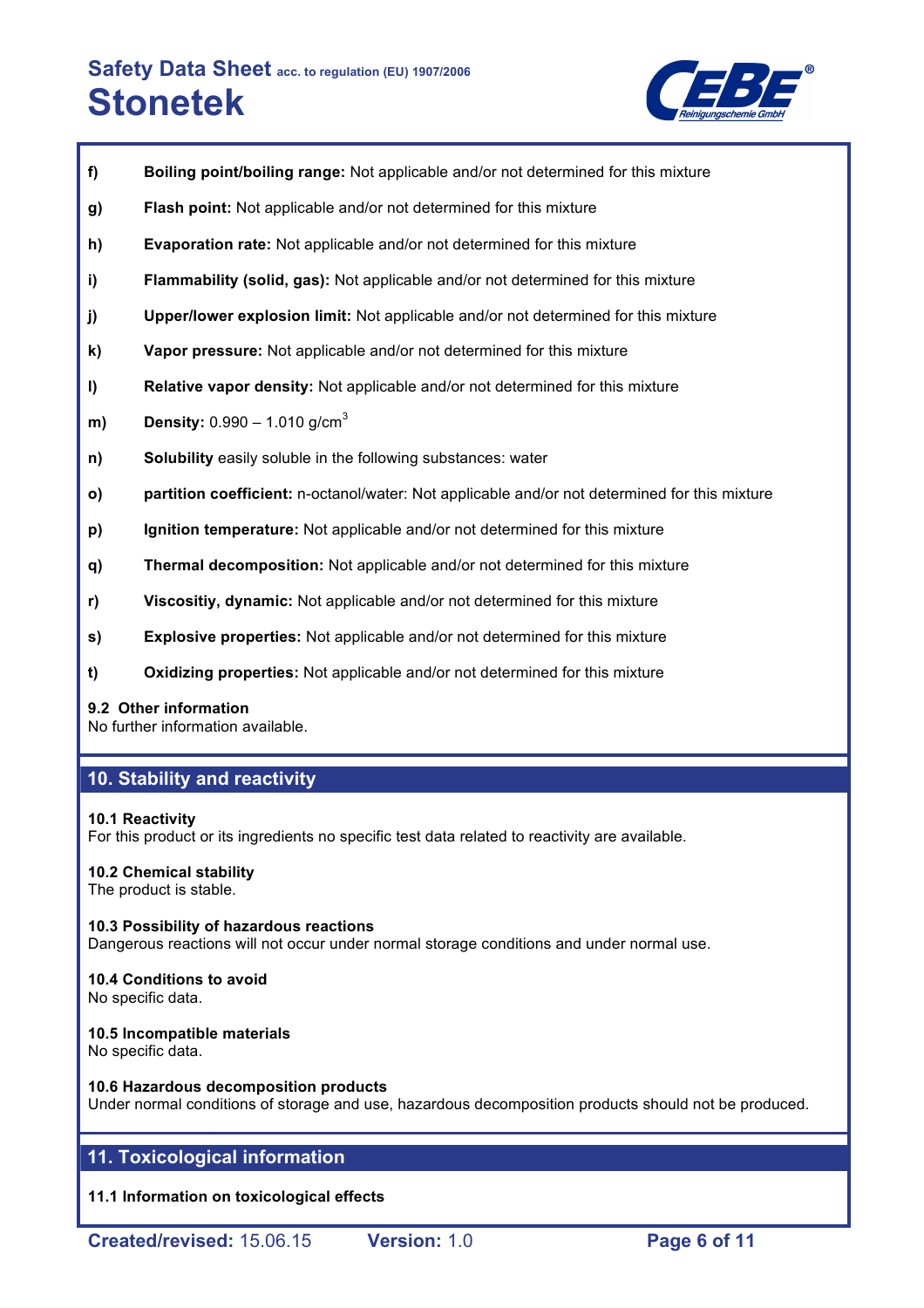

- **f) Boiling point/boiling range:** Not applicable and/or not determined for this mixture
- **g) Flash point:** Not applicable and/or not determined for this mixture
- **h) Evaporation rate:** Not applicable and/or not determined for this mixture
- **i) Flammability (solid, gas):** Not applicable and/or not determined for this mixture
- **j) Upper/lower explosion limit:** Not applicable and/or not determined for this mixture
- **k) Vapor pressure:** Not applicable and/or not determined for this mixture
- **l) Relative vapor density:** Not applicable and/or not determined for this mixture
- **m) Density:** 0.990 1.010 g/cm<sup>3</sup>
- **n) Solubility** easily soluble in the following substances: water
- **o) partition coefficient:** n-octanol/water: Not applicable and/or not determined for this mixture
- **p) Ignition temperature:** Not applicable and/or not determined for this mixture
- **q) Thermal decomposition:** Not applicable and/or not determined for this mixture
- **r) Viscositiy, dynamic:** Not applicable and/or not determined for this mixture
- **s) Explosive properties:** Not applicable and/or not determined for this mixture
- **t) Oxidizing properties:** Not applicable and/or not determined for this mixture

#### **9.2 Other information**

No further information available.

### **10. Stability and reactivity**

#### **10.1 Reactivity**

For this product or its ingredients no specific test data related to reactivity are available.

## **10.2 Chemical stability**

The product is stable.

#### **10.3 Possibility of hazardous reactions** Dangerous reactions will not occur under normal storage conditions and under normal use.

#### **10.4 Conditions to avoid** No specific data.

### **10.5 Incompatible materials**

No specific data.

#### **10.6 Hazardous decomposition products**

Under normal conditions of storage and use, hazardous decomposition products should not be produced.

## **11. Toxicological information**

**11.1 Information on toxicological effects**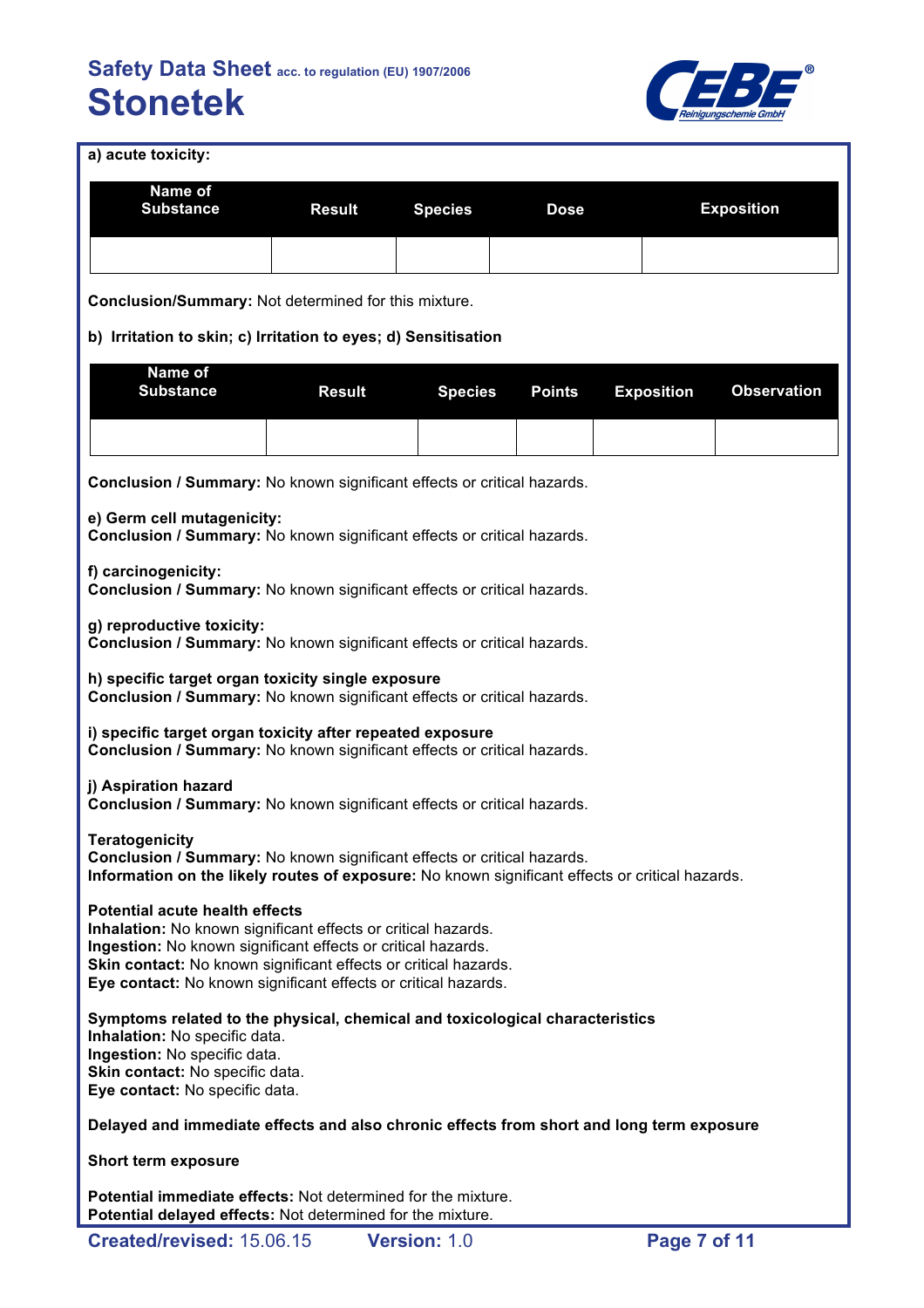

**a) acute toxicity:**

| a) acute toxicity:                                                                                           |               |                |               |                   |  |                    |  |
|--------------------------------------------------------------------------------------------------------------|---------------|----------------|---------------|-------------------|--|--------------------|--|
| Name of<br><b>Substance</b>                                                                                  | <b>Result</b> | <b>Species</b> | <b>Dose</b>   |                   |  | <b>Exposition</b>  |  |
|                                                                                                              |               |                |               |                   |  |                    |  |
| <b>Conclusion/Summary: Not determined for this mixture.</b>                                                  |               |                |               |                   |  |                    |  |
| b) Irritation to skin; c) Irritation to eyes; d) Sensitisation                                               |               |                |               |                   |  |                    |  |
| Name of<br><b>Substance</b>                                                                                  | <b>Result</b> | <b>Species</b> | <b>Points</b> | <b>Exposition</b> |  | <b>Observation</b> |  |
|                                                                                                              |               |                |               |                   |  |                    |  |
| Conclusion / Summary: No known significant effects or critical hazards.                                      |               |                |               |                   |  |                    |  |
| e) Germ cell mutagenicity:<br><b>Conclusion / Summary: No known significant effects or critical hazards.</b> |               |                |               |                   |  |                    |  |
| f) carcinogenicity:<br><b>Conclusion / Summary:</b> No known significant effects or critical hazards.        |               |                |               |                   |  |                    |  |

**g) reproductive toxicity:**

**Conclusion / Summary:** No known significant effects or critical hazards.

**h) specific target organ toxicity single exposure Conclusion / Summary:** No known significant effects or critical hazards.

**i) specific target organ toxicity after repeated exposure Conclusion / Summary:** No known significant effects or critical hazards.

**j) Aspiration hazard**

**Conclusion / Summary:** No known significant effects or critical hazards.

**Teratogenicity**

**Conclusion / Summary:** No known significant effects or critical hazards. **Information on the likely routes of exposure:** No known significant effects or critical hazards.

**Potential acute health effects**

**Inhalation:** No known significant effects or critical hazards. **Ingestion:** No known significant effects or critical hazards. **Skin contact:** No known significant effects or critical hazards. **Eye contact:** No known significant effects or critical hazards.

**Symptoms related to the physical, chemical and toxicological characteristics Inhalation:** No specific data. **Ingestion:** No specific data. **Skin contact:** No specific data. **Eye contact:** No specific data.

**Delayed and immediate effects and also chronic effects from short and long term exposure**

**Short term exposure**

**Potential immediate effects:** Not determined for the mixture. **Potential delayed effects:** Not determined for the mixture.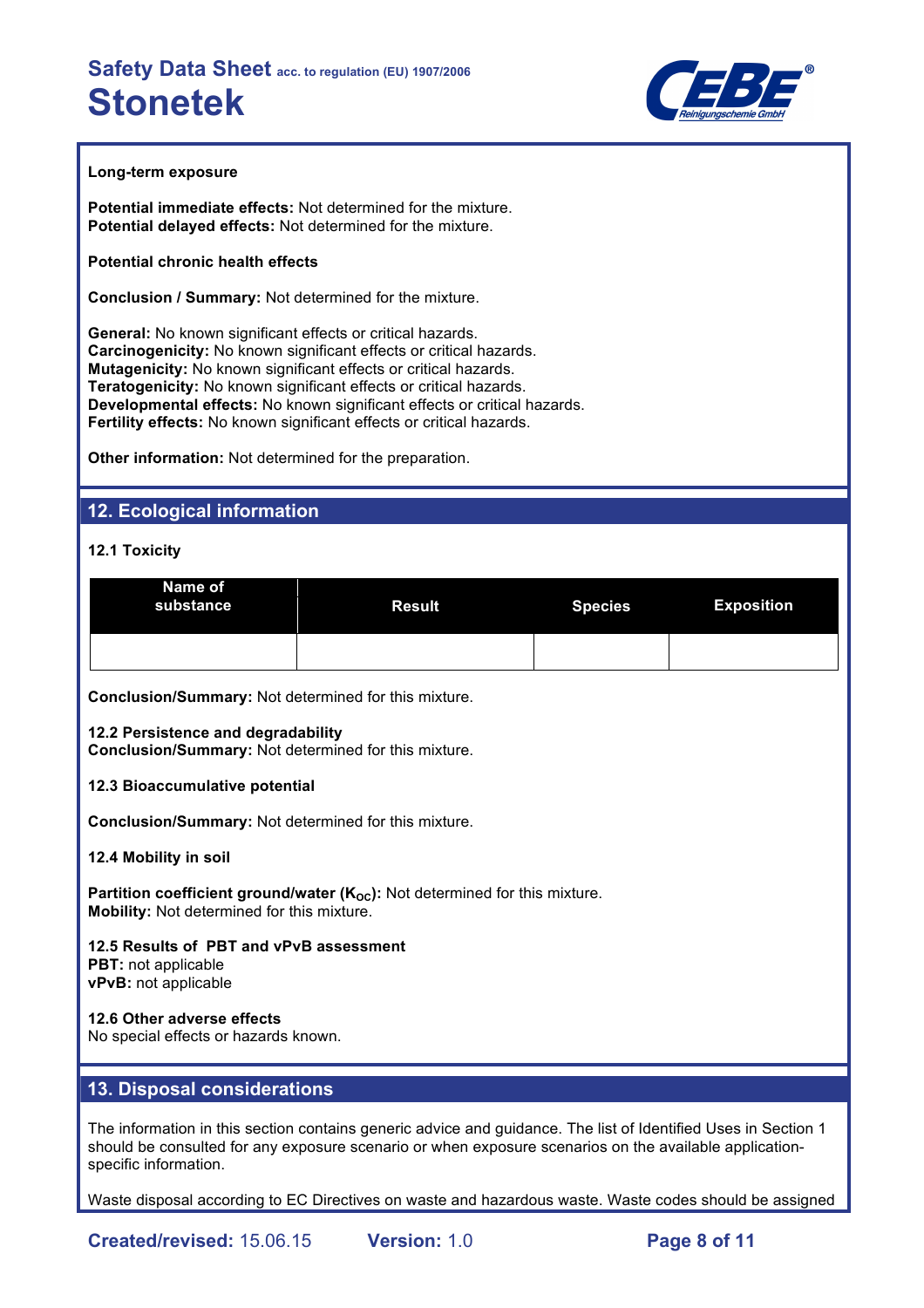

#### **Long-term exposure**

**Potential immediate effects:** Not determined for the mixture. **Potential delayed effects:** Not determined for the mixture.

**Potential chronic health effects**

**Conclusion / Summary:** Not determined for the mixture.

**General:** No known significant effects or critical hazards. **Carcinogenicity:** No known significant effects or critical hazards. **Mutagenicity:** No known significant effects or critical hazards. **Teratogenicity:** No known significant effects or critical hazards. **Developmental effects:** No known significant effects or critical hazards. **Fertility effects:** No known significant effects or critical hazards.

**Other information:** Not determined for the preparation.

## **12. Ecological information**

#### **12.1 Toxicity**

| Name of<br>substance | <b>Result</b> | <b>Species</b> | <b>Exposition</b> |
|----------------------|---------------|----------------|-------------------|
|                      |               |                |                   |

**Conclusion/Summary:** Not determined for this mixture.

#### **12.2 Persistence and degradability**

**Conclusion/Summary:** Not determined for this mixture.

#### **12.3 Bioaccumulative potential**

**Conclusion/Summary:** Not determined for this mixture.

**12.4 Mobility in soil**

**Partition coefficient ground/water (K<sub>OC</sub>):** Not determined for this mixture. **Mobility:** Not determined for this mixture.

## **12.5 Results of PBT and vPvB assessment**

**PBT:** not applicable **vPvB:** not applicable

#### **12.6 Other adverse effects**

No special effects or hazards known.

### **13. Disposal considerations**

The information in this section contains generic advice and guidance. The list of Identified Uses in Section 1 should be consulted for any exposure scenario or when exposure scenarios on the available applicationspecific information.

Waste disposal according to EC Directives on waste and hazardous waste. Waste codes should be assigned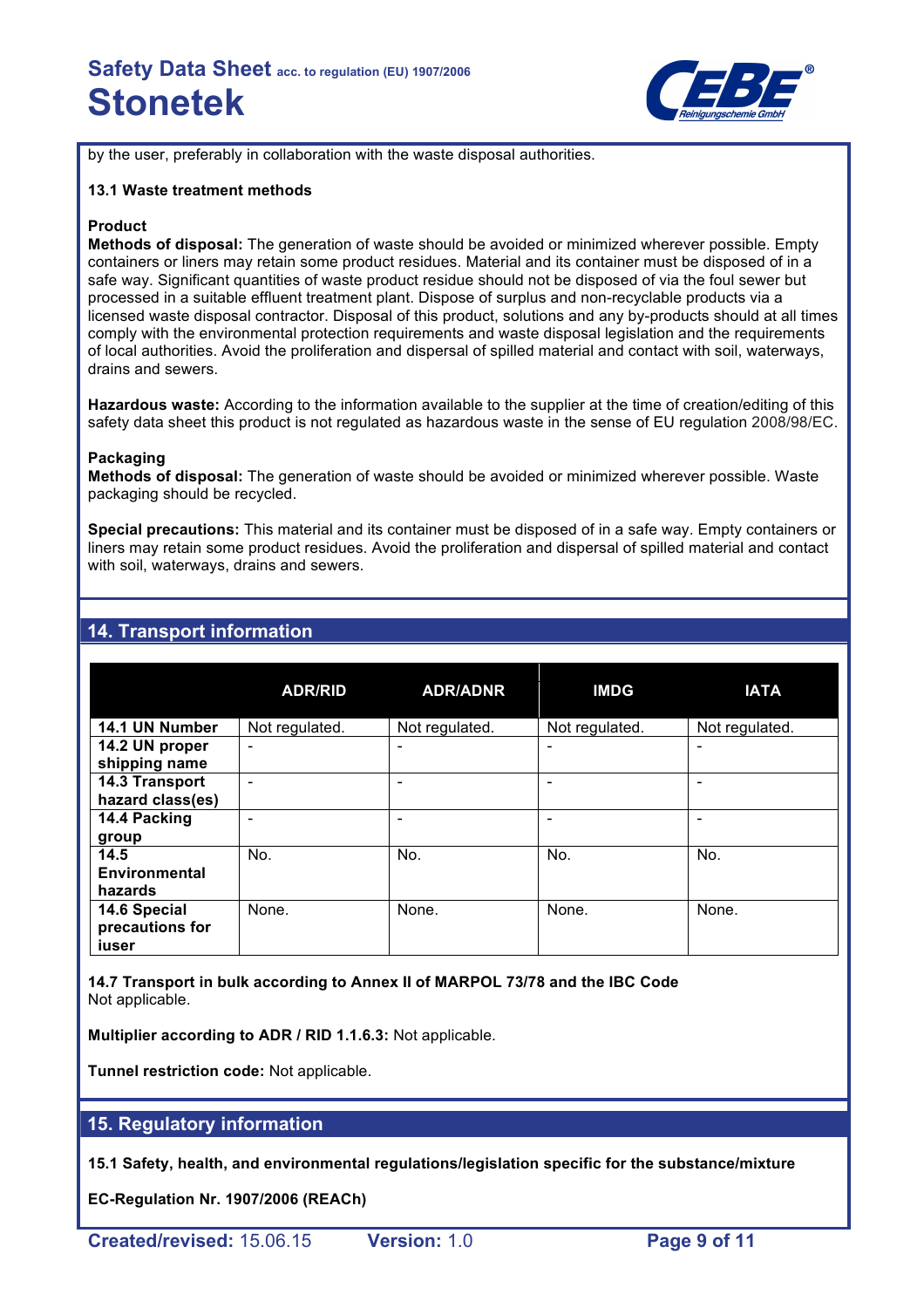

by the user, preferably in collaboration with the waste disposal authorities.

#### **13.1 Waste treatment methods**

#### **Product**

**Methods of disposal:** The generation of waste should be avoided or minimized wherever possible. Empty containers or liners may retain some product residues. Material and its container must be disposed of in a safe way. Significant quantities of waste product residue should not be disposed of via the foul sewer but processed in a suitable effluent treatment plant. Dispose of surplus and non-recyclable products via a licensed waste disposal contractor. Disposal of this product, solutions and any by-products should at all times comply with the environmental protection requirements and waste disposal legislation and the requirements of local authorities. Avoid the proliferation and dispersal of spilled material and contact with soil, waterways, drains and sewers.

**Hazardous waste:** According to the information available to the supplier at the time of creation/editing of this safety data sheet this product is not regulated as hazardous waste in the sense of EU regulation 2008/98/EC.

#### **Packaging**

**Methods of disposal:** The generation of waste should be avoided or minimized wherever possible. Waste packaging should be recycled.

**Special precautions:** This material and its container must be disposed of in a safe way. Empty containers or liners may retain some product residues. Avoid the proliferation and dispersal of spilled material and contact with soil, waterways, drains and sewers.

## **14. Transport information**

|                                          | <b>ADR/RID</b>               | <b>ADR/ADNR</b>          | <b>IMDG</b>    | <b>IATA</b>    |
|------------------------------------------|------------------------------|--------------------------|----------------|----------------|
| 14.1 UN Number                           | Not regulated.               | Not regulated.           | Not regulated. | Not regulated. |
| 14.2 UN proper<br>shipping name          | $\qquad \qquad \blacksquare$ |                          |                |                |
| 14.3 Transport<br>hazard class(es)       | ۰                            | $\overline{\phantom{0}}$ |                |                |
| 14.4 Packing<br>group                    |                              |                          |                |                |
| 14.5<br><b>Environmental</b><br>hazards  | No.                          | No.                      | No.            | No.            |
| 14.6 Special<br>precautions for<br>iuser | None.                        | None.                    | None.          | None.          |

**14.7 Transport in bulk according to Annex II of MARPOL 73/78 and the IBC Code** Not applicable.

**Multiplier according to ADR / RID 1.1.6.3:** Not applicable.

**Tunnel restriction code:** Not applicable.

#### **15. Regulatory information**

**15.1 Safety, health, and environmental regulations/legislation specific for the substance/mixture**

**EC-Regulation Nr. 1907/2006 (REACh)**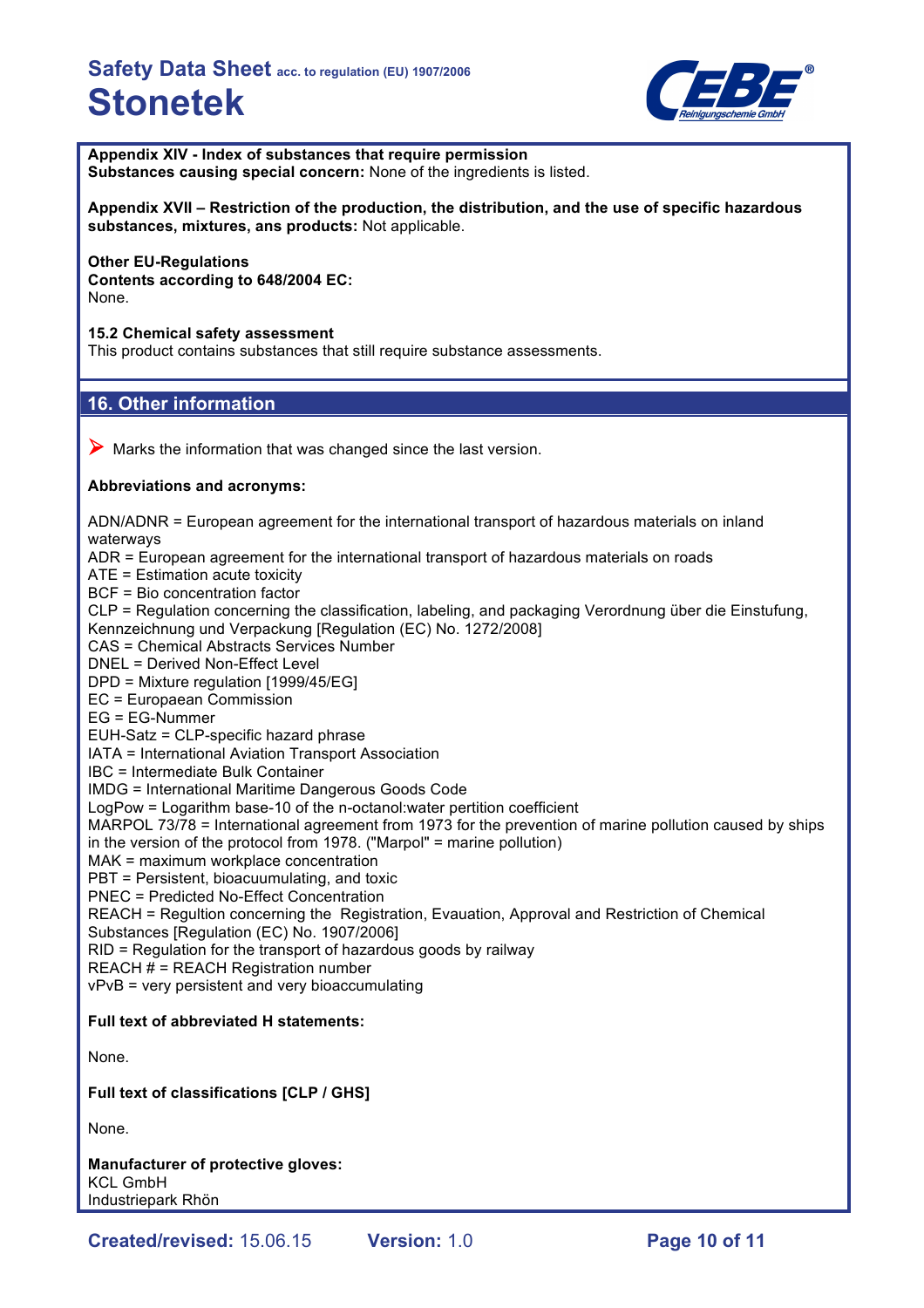

**Appendix XIV - Index of substances that require permission Substances causing special concern:** None of the ingredients is listed.

**Appendix XVII – Restriction of the production, the distribution, and the use of specific hazardous substances, mixtures, ans products:** Not applicable.

# **Other EU-Regulations**

**Contents according to 648/2004 EC:** None.

**15.2 Chemical safety assessment**

This product contains substances that still require substance assessments.

## **16. Other information**

 $\triangleright$  Marks the information that was changed since the last version.

### **Abbreviations and acronyms:**

ADN/ADNR = European agreement for the international transport of hazardous materials on inland waterways ADR = European agreement for the international transport of hazardous materials on roads ATE = Estimation acute toxicity BCF = Bio concentration factor CLP = Regulation concerning the classification, labeling, and packaging Verordnung über die Einstufung, Kennzeichnung und Verpackung [Regulation (EC) No. 1272/2008] CAS = Chemical Abstracts Services Number DNEL = Derived Non-Effect Level DPD = Mixture regulation [1999/45/EG] EC = Europaean Commission EG = EG-Nummer EUH-Satz = CLP-specific hazard phrase IATA = International Aviation Transport Association IBC = Intermediate Bulk Container IMDG = International Maritime Dangerous Goods Code LogPow = Logarithm base-10 of the n-octanol:water pertition coefficient MARPOL 73/78 = International agreement from 1973 for the prevention of marine pollution caused by ships in the version of the protocol from 1978. ("Marpol" = marine pollution) MAK = maximum workplace concentration PBT = Persistent, bioacuumulating, and toxic PNEC = Predicted No-Effect Concentration REACH = Regultion concerning the Registration, Evauation, Approval and Restriction of Chemical Substances [Regulation (EC) No. 1907/2006] RID = Regulation for the transport of hazardous goods by railway REACH # = REACH Registration number vPvB = very persistent and very bioaccumulating **Full text of abbreviated H statements:** None. **Full text of classifications [CLP / GHS]** None. **Manufacturer of protective gloves:**

KCL GmbH Industriepark Rhön